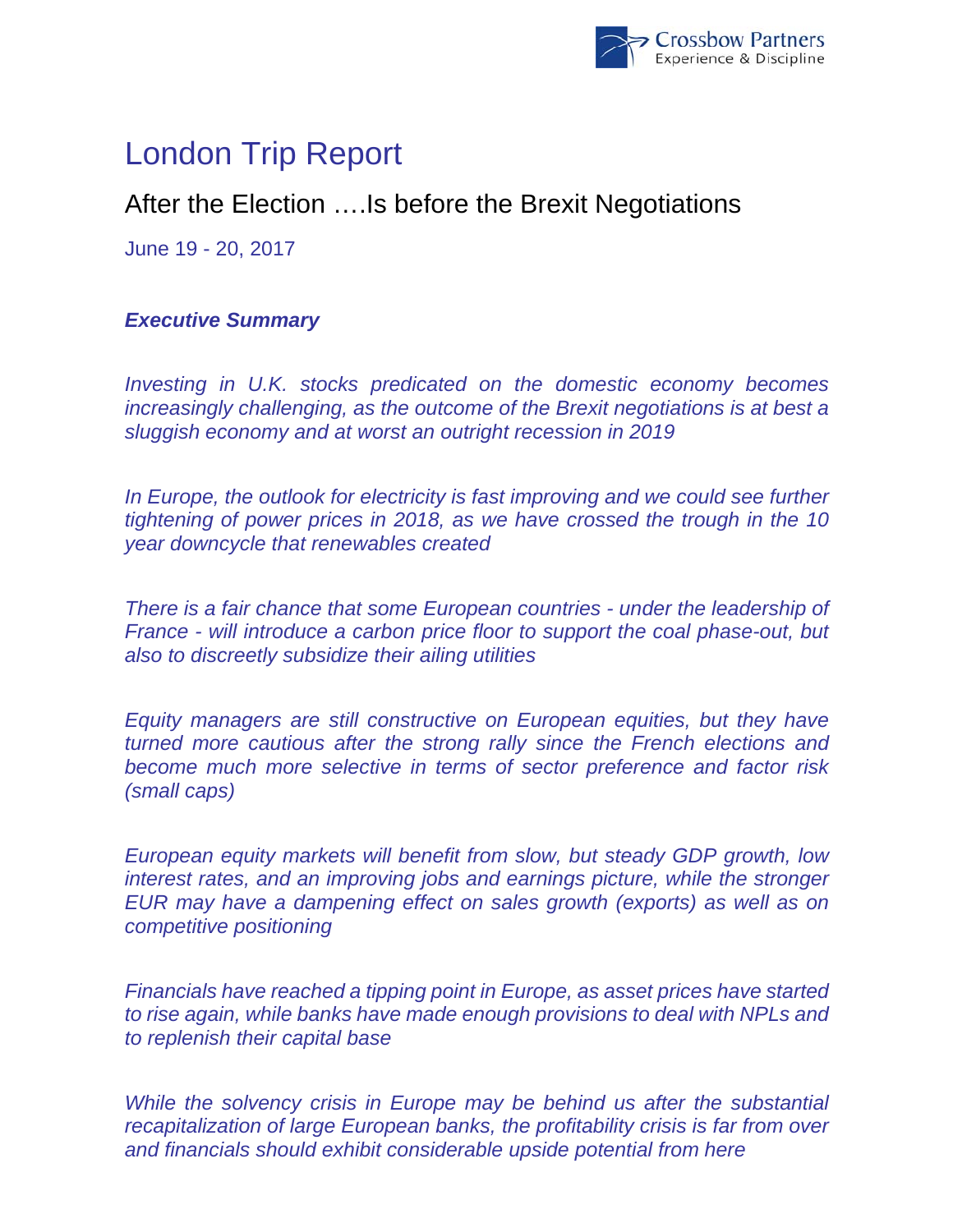

# London Trip Report

## After the Election ….Is before the Brexit Negotiations

June 19 - 20, 2017

### *Executive Summary*

*Investing in U.K. stocks predicated on the domestic economy becomes increasingly challenging, as the outcome of the Brexit negotiations is at best a sluggish economy and at worst an outright recession in 2019* 

In Europe, the outlook for electricity is fast improving and we could see further *tightening of power prices in 2018, as we have crossed the trough in the 10 year downcycle that renewables created* 

*There is a fair chance that some European countries - under the leadership of France - will introduce a carbon price floor to support the coal phase-out, but also to discreetly subsidize their ailing utilities* 

*Equity managers are still constructive on European equities, but they have turned more cautious after the strong rally since the French elections and become much more selective in terms of sector preference and factor risk (small caps)* 

*European equity markets will benefit from slow, but steady GDP growth, low interest rates, and an improving jobs and earnings picture, while the stronger EUR may have a dampening effect on sales growth (exports) as well as on competitive positioning* 

*Financials have reached a tipping point in Europe, as asset prices have started to rise again, while banks have made enough provisions to deal with NPLs and to replenish their capital base* 

*While the solvency crisis in Europe may be behind us after the substantial recapitalization of large European banks, the profitability crisis is far from over and financials should exhibit considerable upside potential from here*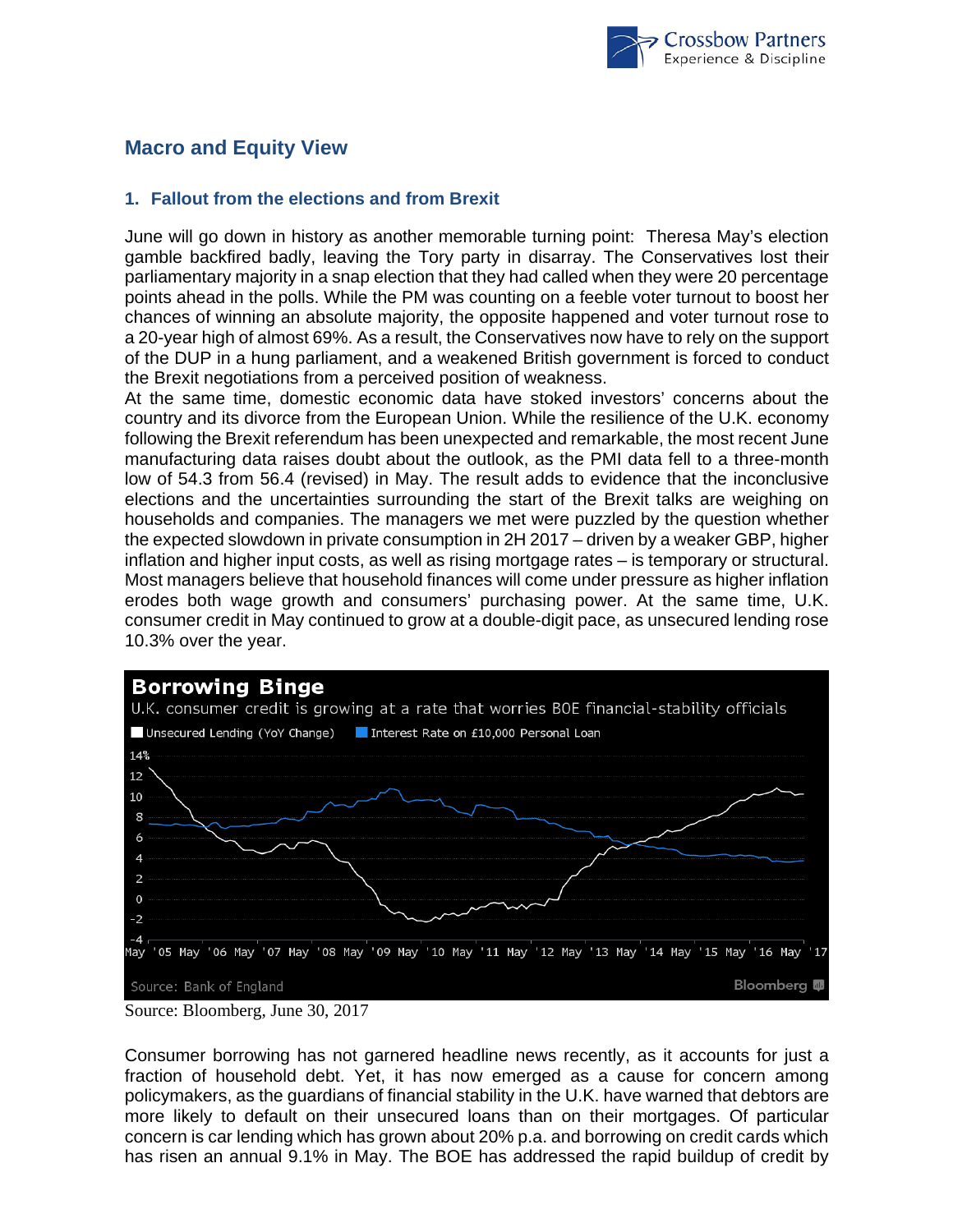

## **Macro and Equity View**

#### **1. Fallout from the elections and from Brexit**

June will go down in history as another memorable turning point: Theresa May's election gamble backfired badly, leaving the Tory party in disarray. The Conservatives lost their parliamentary majority in a snap election that they had called when they were 20 percentage points ahead in the polls. While the PM was counting on a feeble voter turnout to boost her chances of winning an absolute majority, the opposite happened and voter turnout rose to a 20-year high of almost 69%. As a result, the Conservatives now have to rely on the support of the DUP in a hung parliament, and a weakened British government is forced to conduct the Brexit negotiations from a perceived position of weakness.

At the same time, domestic economic data have stoked investors' concerns about the country and its divorce from the European Union. While the resilience of the U.K. economy following the Brexit referendum has been unexpected and remarkable, the most recent June manufacturing data raises doubt about the outlook, as the PMI data fell to a three-month low of 54.3 from 56.4 (revised) in May. The result adds to evidence that the inconclusive elections and the uncertainties surrounding the start of the Brexit talks are weighing on households and companies. The managers we met were puzzled by the question whether the expected slowdown in private consumption in 2H 2017 – driven by a weaker GBP, higher inflation and higher input costs, as well as rising mortgage rates – is temporary or structural. Most managers believe that household finances will come under pressure as higher inflation erodes both wage growth and consumers' purchasing power. At the same time, U.K. consumer credit in May continued to grow at a double-digit pace, as unsecured lending rose 10.3% over the year.



Consumer borrowing has not garnered headline news recently, as it accounts for just a fraction of household debt. Yet, it has now emerged as a cause for concern among policymakers, as the guardians of financial stability in the U.K. have warned that debtors are more likely to default on their unsecured loans than on their mortgages. Of particular concern is car lending which has grown about 20% p.a. and borrowing on credit cards which has risen an annual 9.1% in May. The BOE has addressed the rapid buildup of credit by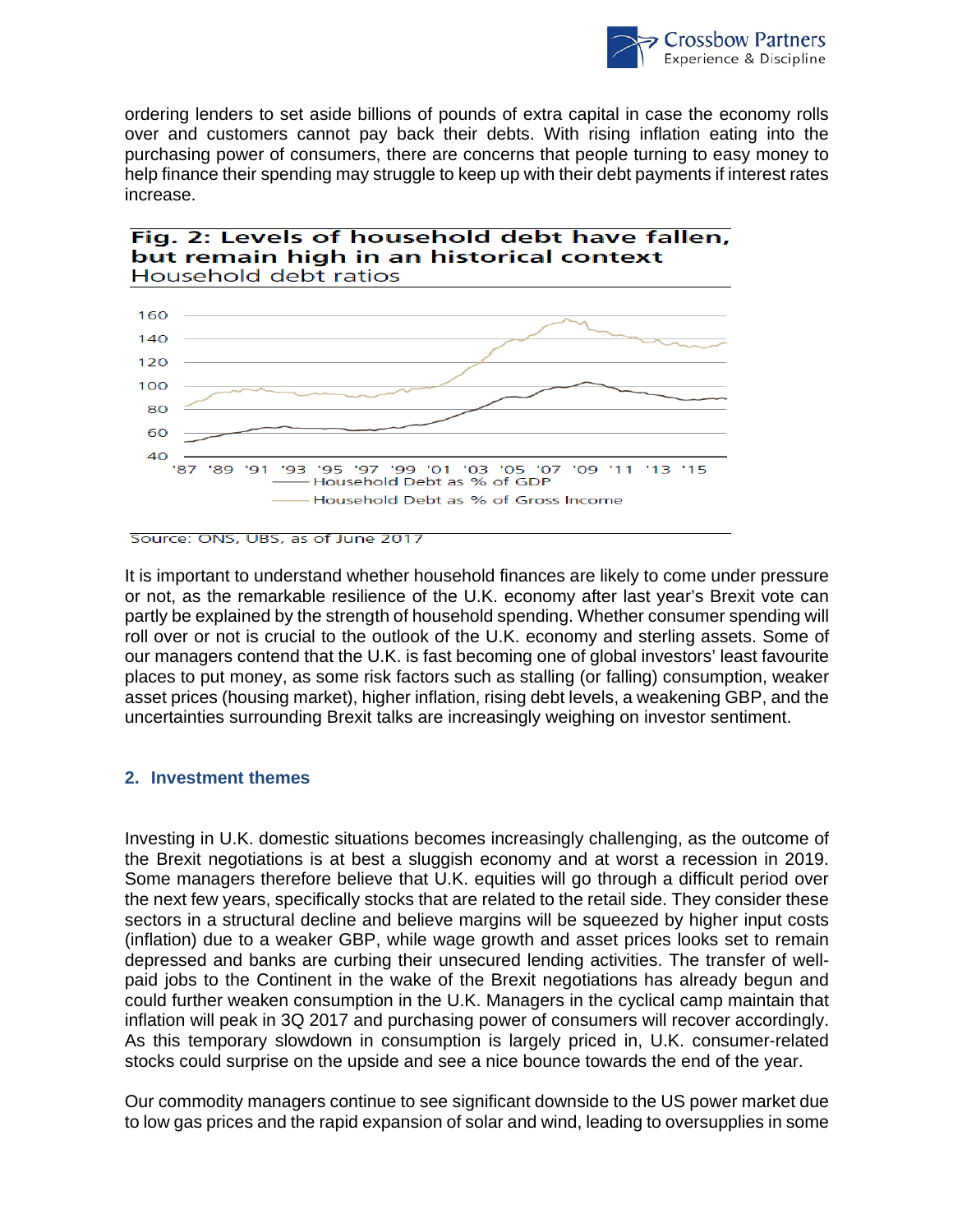

ordering lenders to set aside billions of pounds of extra capital in case the economy rolls over and customers cannot pay back their debts. With rising inflation eating into the purchasing power of consumers, there are concerns that people turning to easy money to help finance their spending may struggle to keep up with their debt payments if interest rates increase.





Source: ONS, UBS, as of June 2017

It is important to understand whether household finances are likely to come under pressure or not, as the remarkable resilience of the U.K. economy after last year's Brexit vote can partly be explained by the strength of household spending. Whether consumer spending will roll over or not is crucial to the outlook of the U.K. economy and sterling assets. Some of our managers contend that the U.K. is fast becoming one of global investors' least favourite places to put money, as some risk factors such as stalling (or falling) consumption, weaker asset prices (housing market), higher inflation, rising debt levels, a weakening GBP, and the uncertainties surrounding Brexit talks are increasingly weighing on investor sentiment.

#### **2. Investment themes**

Investing in U.K. domestic situations becomes increasingly challenging, as the outcome of the Brexit negotiations is at best a sluggish economy and at worst a recession in 2019. Some managers therefore believe that U.K. equities will go through a difficult period over the next few years, specifically stocks that are related to the retail side. They consider these sectors in a structural decline and believe margins will be squeezed by higher input costs (inflation) due to a weaker GBP, while wage growth and asset prices looks set to remain depressed and banks are curbing their unsecured lending activities. The transfer of wellpaid jobs to the Continent in the wake of the Brexit negotiations has already begun and could further weaken consumption in the U.K. Managers in the cyclical camp maintain that inflation will peak in 3Q 2017 and purchasing power of consumers will recover accordingly. As this temporary slowdown in consumption is largely priced in, U.K. consumer-related stocks could surprise on the upside and see a nice bounce towards the end of the year.

Our commodity managers continue to see significant downside to the US power market due to low gas prices and the rapid expansion of solar and wind, leading to oversupplies in some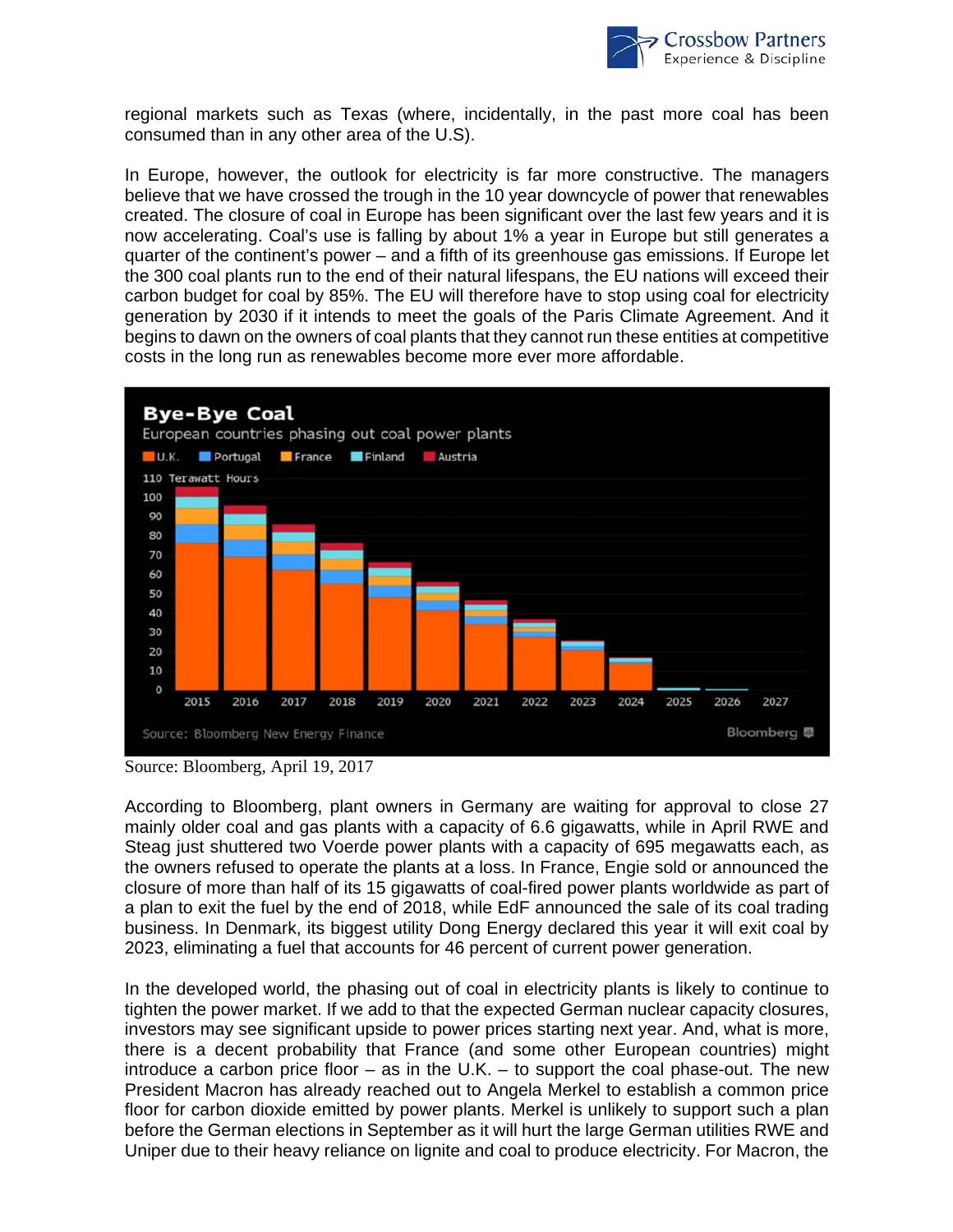

regional markets such as Texas (where, incidentally, in the past more coal has been consumed than in any other area of the U.S).

In Europe, however, the outlook for electricity is far more constructive. The managers believe that we have crossed the trough in the 10 year downcycle of power that renewables created. The closure of coal in Europe has been significant over the last few years and it is now accelerating. Coal's use is falling by about 1% a year in Europe but still generates a quarter of the continent's power – and a fifth of its greenhouse gas emissions. If Europe let the 300 coal plants run to the end of their natural lifespans, the EU nations will exceed their carbon budget for coal by 85%. The EU will therefore have to stop using coal for electricity generation by 2030 if it intends to meet the goals of the Paris Climate Agreement. And it begins to dawn on the owners of coal plants that they cannot run these entities at competitive costs in the long run as renewables become more ever more affordable.



Source: Bloomberg, April 19, 2017

According to Bloomberg, plant owners in Germany are waiting for approval to close 27 mainly older coal and gas plants with a capacity of 6.6 gigawatts, while in April RWE and Steag just shuttered two Voerde power plants with a capacity of 695 megawatts each, as the owners refused to operate the plants at a loss. In France, Engie sold or announced the closure of more than half of its 15 gigawatts of coal-fired power plants worldwide as part of a plan to exit the fuel by the end of 2018, while EdF announced the sale of its coal trading business. In Denmark, its biggest utility Dong Energy declared this year it will exit coal by 2023, eliminating a fuel that accounts for 46 percent of current power generation.

In the developed world, the phasing out of coal in electricity plants is likely to continue to tighten the power market. If we add to that the expected German nuclear capacity closures, investors may see significant upside to power prices starting next year. And, what is more, there is a decent probability that France (and some other European countries) might introduce a carbon price floor – as in the U.K. – to support the coal phase-out. The new President Macron has already reached out to Angela Merkel to establish a common price floor for carbon dioxide emitted by power plants. Merkel is unlikely to support such a plan before the German elections in September as it will hurt the large German utilities RWE and Uniper due to their heavy reliance on lignite and coal to produce electricity. For Macron, the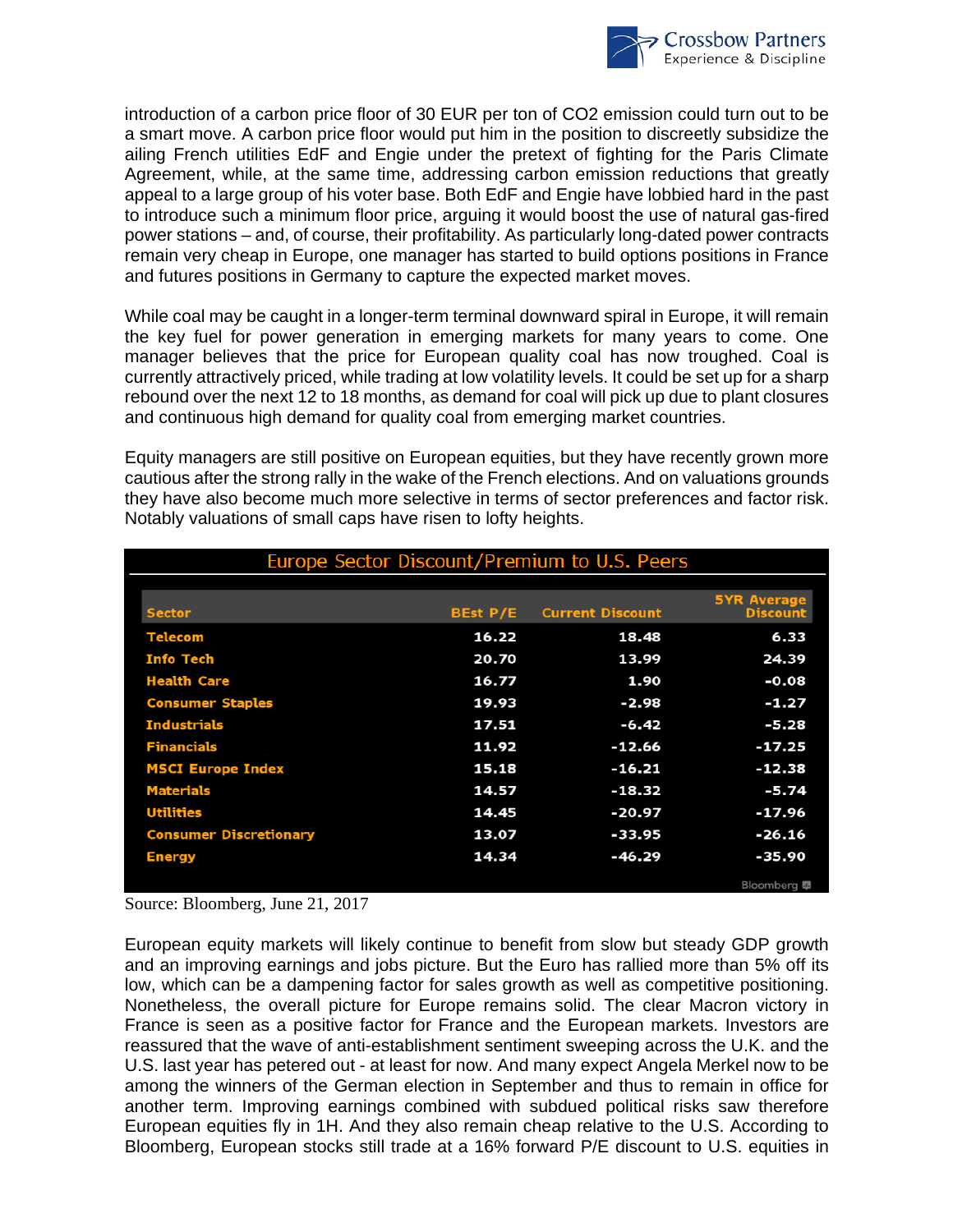

introduction of a carbon price floor of 30 EUR per ton of CO2 emission could turn out to be a smart move. A carbon price floor would put him in the position to discreetly subsidize the ailing French utilities EdF and Engie under the pretext of fighting for the Paris Climate Agreement, while, at the same time, addressing carbon emission reductions that greatly appeal to a large group of his voter base. Both EdF and Engie have lobbied hard in the past to introduce such a minimum floor price, arguing it would boost the use of natural gas-fired power stations – and, of course, their profitability. As particularly long-dated power contracts remain very cheap in Europe, one manager has started to build options positions in France and futures positions in Germany to capture the expected market moves.

While coal may be caught in a longer-term terminal downward spiral in Europe, it will remain the key fuel for power generation in emerging markets for many years to come. One manager believes that the price for European quality coal has now troughed. Coal is currently attractively priced, while trading at low volatility levels. It could be set up for a sharp rebound over the next 12 to 18 months, as demand for coal will pick up due to plant closures and continuous high demand for quality coal from emerging market countries.

Equity managers are still positive on European equities, but they have recently grown more cautious after the strong rally in the wake of the French elections. And on valuations grounds they have also become much more selective in terms of sector preferences and factor risk. Notably valuations of small caps have risen to lofty heights.

| Europe Sector Discount/Premium to U.S. Peers |          |                         |                                       |
|----------------------------------------------|----------|-------------------------|---------------------------------------|
| <b>Sector</b>                                | BEst P/E | <b>Current Discount</b> | <b>5YR Average</b><br><b>Discount</b> |
| <b>Telecom</b>                               | 16.22    | 18.48                   | 6.33                                  |
| <b>Info Tech</b>                             | 20.70    | 13.99                   | 24.39                                 |
| <b>Health Care</b>                           | 16.77    | 1.90                    | $-0.08$                               |
| <b>Consumer Staples</b>                      | 19.93    | $-2.98$                 | $-1.27$                               |
| <b>Industrials</b>                           | 17.51    | $-6.42$                 | $-5.28$                               |
| <b>Financials</b>                            | 11.92    | $-12.66$                | $-17.25$                              |
| <b>MSCI Europe Index</b>                     | 15.18    | $-16.21$                | $-12.38$                              |
| <b>Materials</b>                             | 14.57    | $-18.32$                | $-5.74$                               |
| <b>Utilities</b>                             | 14.45    | $-20.97$                | $-17.96$                              |
| <b>Consumer Discretionary</b>                | 13.07    | $-33.95$                | $-26.16$                              |
| <b>Energy</b>                                | 14.34    | $-46.29$                | $-35.90$                              |
|                                              |          |                         | Bloomberg E                           |

Source: Bloomberg, June 21, 2017

European equity markets will likely continue to benefit from slow but steady GDP growth and an improving earnings and jobs picture. But the Euro has rallied more than 5% off its low, which can be a dampening factor for sales growth as well as competitive positioning. Nonetheless, the overall picture for Europe remains solid. The clear Macron victory in France is seen as a positive factor for France and the European markets. Investors are reassured that the wave of anti-establishment sentiment sweeping across the U.K. and the U.S. last year has petered out - at least for now. And many expect Angela Merkel now to be among the winners of the German election in September and thus to remain in office for another term. Improving earnings combined with subdued political risks saw therefore European equities fly in 1H. And they also remain cheap relative to the U.S. According to Bloomberg, European stocks still trade at a 16% forward P/E discount to U.S. equities in